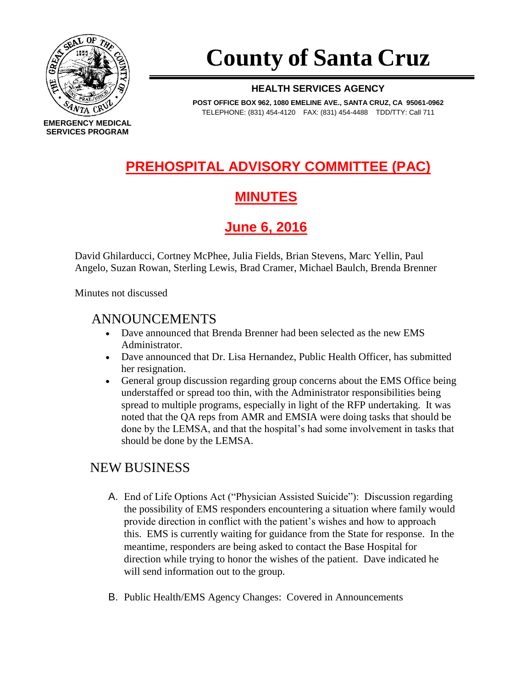

# **County of Santa Cruz**

#### **HEALTH SERVICES AGENCY**

**POST OFFICE BOX 962, 1080 EMELINE AVE., SANTA CRUZ, CA 95061-0962** TELEPHONE: (831) 454-4120 FAX: (831) 454-4488 TDD/TTY: Call 711

## **PREHOSPITAL ADVISORY COMMITTEE (PAC)**

## **MINUTES**

**June 6, 2016**

David Ghilarducci, Cortney McPhee, Julia Fields, Brian Stevens, Marc Yellin, Paul Angelo, Suzan Rowan, Sterling Lewis, Brad Cramer, Michael Baulch, Brenda Brenner

Minutes not discussed

#### ANNOUNCEMENTS

- Dave announced that Brenda Brenner had been selected as the new EMS Administrator.
- Dave announced that Dr. Lisa Hernandez, Public Health Officer, has submitted her resignation.
- General group discussion regarding group concerns about the EMS Office being understaffed or spread too thin, with the Administrator responsibilities being spread to multiple programs, especially in light of the RFP undertaking. It was noted that the QA reps from AMR and EMSIA were doing tasks that should be done by the LEMSA, and that the hospital's had some involvement in tasks that should be done by the LEMSA.

#### NEW BUSINESS

- A. End of Life Options Act ("Physician Assisted Suicide"): Discussion regarding the possibility of EMS responders encountering a situation where family would provide direction in conflict with the patient's wishes and how to approach this. EMS is currently waiting for guidance from the State for response. In the meantime, responders are being asked to contact the Base Hospital for direction while trying to honor the wishes of the patient. Dave indicated he will send information out to the group.
- B. Public Health/EMS Agency Changes: Covered in Announcements

**EMERGENCY MEDICAL SERVICES PROGRAM**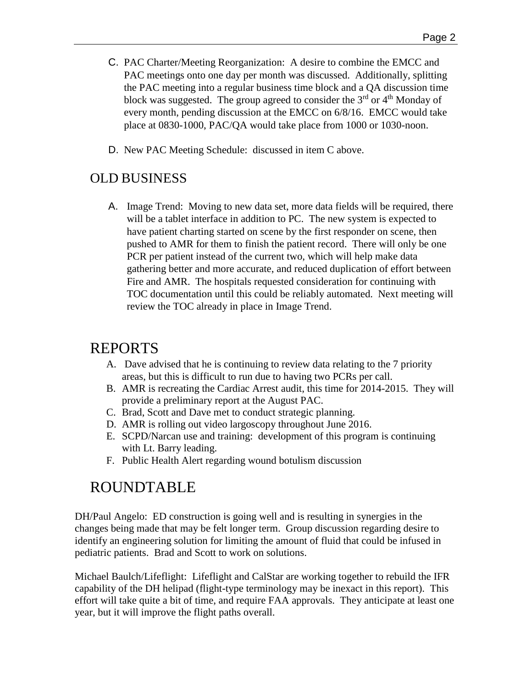- C. PAC Charter/Meeting Reorganization: A desire to combine the EMCC and PAC meetings onto one day per month was discussed. Additionally, splitting the PAC meeting into a regular business time block and a QA discussion time block was suggested. The group agreed to consider the  $3<sup>rd</sup>$  or  $4<sup>th</sup>$  Monday of every month, pending discussion at the EMCC on 6/8/16. EMCC would take place at 0830-1000, PAC/QA would take place from 1000 or 1030-noon.
- D. New PAC Meeting Schedule: discussed in item C above.

#### OLD BUSINESS

A. Image Trend: Moving to new data set, more data fields will be required, there will be a tablet interface in addition to PC. The new system is expected to have patient charting started on scene by the first responder on scene, then pushed to AMR for them to finish the patient record. There will only be one PCR per patient instead of the current two, which will help make data gathering better and more accurate, and reduced duplication of effort between Fire and AMR. The hospitals requested consideration for continuing with TOC documentation until this could be reliably automated. Next meeting will review the TOC already in place in Image Trend.

#### REPORTS

- A. Dave advised that he is continuing to review data relating to the 7 priority areas, but this is difficult to run due to having two PCRs per call.
- B. AMR is recreating the Cardiac Arrest audit, this time for 2014-2015. They will provide a preliminary report at the August PAC.
- C. Brad, Scott and Dave met to conduct strategic planning.
- D. AMR is rolling out video largoscopy throughout June 2016.
- E. SCPD/Narcan use and training: development of this program is continuing with Lt. Barry leading.
- F. Public Health Alert regarding wound botulism discussion

## ROUNDTABLE

DH/Paul Angelo: ED construction is going well and is resulting in synergies in the changes being made that may be felt longer term. Group discussion regarding desire to identify an engineering solution for limiting the amount of fluid that could be infused in pediatric patients. Brad and Scott to work on solutions.

Michael Baulch/Lifeflight: Lifeflight and CalStar are working together to rebuild the IFR capability of the DH helipad (flight-type terminology may be inexact in this report). This effort will take quite a bit of time, and require FAA approvals. They anticipate at least one year, but it will improve the flight paths overall.